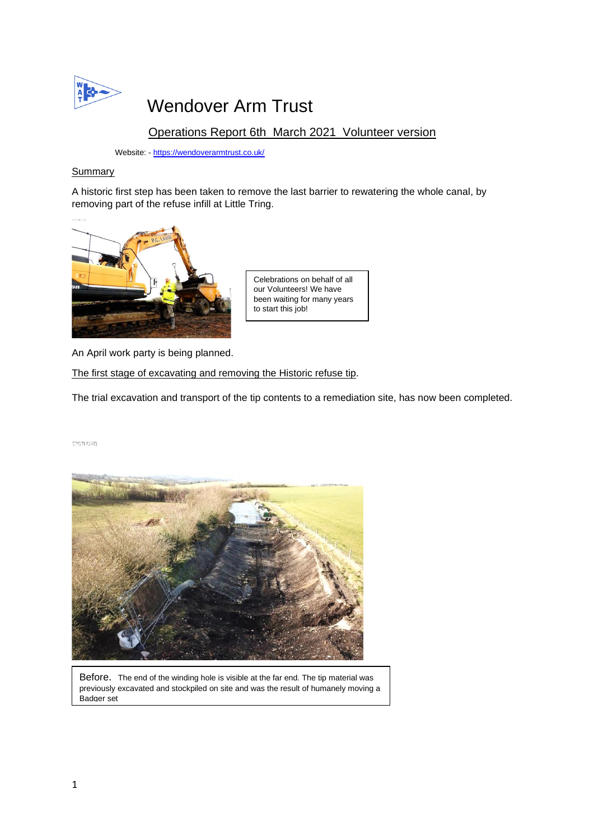

# Wendover Arm Trust

# Operations Report 6th March 2021 Volunteer version

Website: - <https://wendoverarmtrust.co.uk/>

# **Summary**

A historic first step has been taken to remove the last barrier to rewatering the whole canal, by removing part of the refuse infill at Little Tring.



Celebrations on behalf of all our Volunteers! We have been waiting for many years to start this job!

An April work party is being planned.

The first stage of excavating and removing the Historic refuse tip.

The trial excavation and transport of the tip contents to a remediation site, has now been completed.

STGTHUMB



Before.The end of the winding hole is visible at the far end. The tip material was previously excavated and stockpiled on site and was the result of humanely moving a Badger set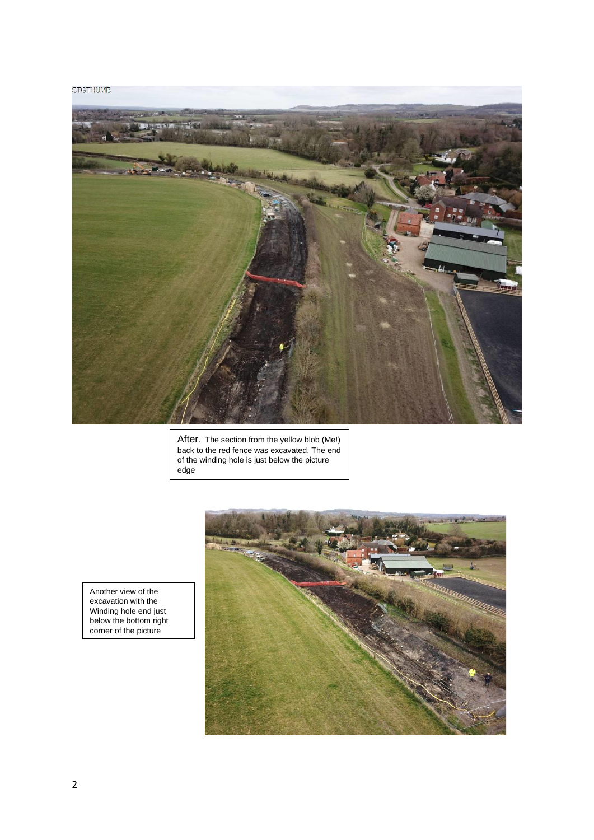### **STGTHUMB**



After. The section from the yellow blob (Me!) back to the red fence was excavated. The end of the winding hole is just below the picture edge

Another view of the excavation with the Winding hole end just below the bottom right corner of the picture

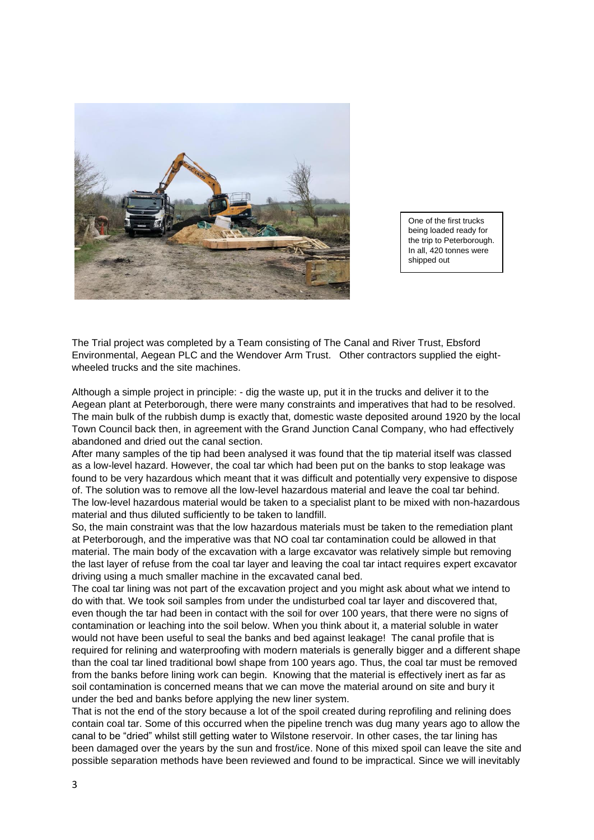

One of the first trucks being loaded ready for the trip to Peterborough. In all, 420 tonnes were shipped out

The Trial project was completed by a Team consisting of The Canal and River Trust, Ebsford Environmental, Aegean PLC and the Wendover Arm Trust. Other contractors supplied the eightwheeled trucks and the site machines.

Although a simple project in principle: - dig the waste up, put it in the trucks and deliver it to the Aegean plant at Peterborough, there were many constraints and imperatives that had to be resolved. The main bulk of the rubbish dump is exactly that, domestic waste deposited around 1920 by the local Town Council back then, in agreement with the Grand Junction Canal Company, who had effectively abandoned and dried out the canal section.

After many samples of the tip had been analysed it was found that the tip material itself was classed as a low-level hazard. However, the coal tar which had been put on the banks to stop leakage was found to be very hazardous which meant that it was difficult and potentially very expensive to dispose of. The solution was to remove all the low-level hazardous material and leave the coal tar behind. The low-level hazardous material would be taken to a specialist plant to be mixed with non-hazardous material and thus diluted sufficiently to be taken to landfill.

So, the main constraint was that the low hazardous materials must be taken to the remediation plant at Peterborough, and the imperative was that NO coal tar contamination could be allowed in that material. The main body of the excavation with a large excavator was relatively simple but removing the last layer of refuse from the coal tar layer and leaving the coal tar intact requires expert excavator driving using a much smaller machine in the excavated canal bed.

The coal tar lining was not part of the excavation project and you might ask about what we intend to do with that. We took soil samples from under the undisturbed coal tar layer and discovered that, even though the tar had been in contact with the soil for over 100 years, that there were no signs of contamination or leaching into the soil below. When you think about it, a material soluble in water would not have been useful to seal the banks and bed against leakage! The canal profile that is required for relining and waterproofing with modern materials is generally bigger and a different shape than the coal tar lined traditional bowl shape from 100 years ago. Thus, the coal tar must be removed from the banks before lining work can begin. Knowing that the material is effectively inert as far as soil contamination is concerned means that we can move the material around on site and bury it under the bed and banks before applying the new liner system.

That is not the end of the story because a lot of the spoil created during reprofiling and relining does contain coal tar. Some of this occurred when the pipeline trench was dug many years ago to allow the canal to be "dried" whilst still getting water to Wilstone reservoir. In other cases, the tar lining has been damaged over the years by the sun and frost/ice. None of this mixed spoil can leave the site and possible separation methods have been reviewed and found to be impractical. Since we will inevitably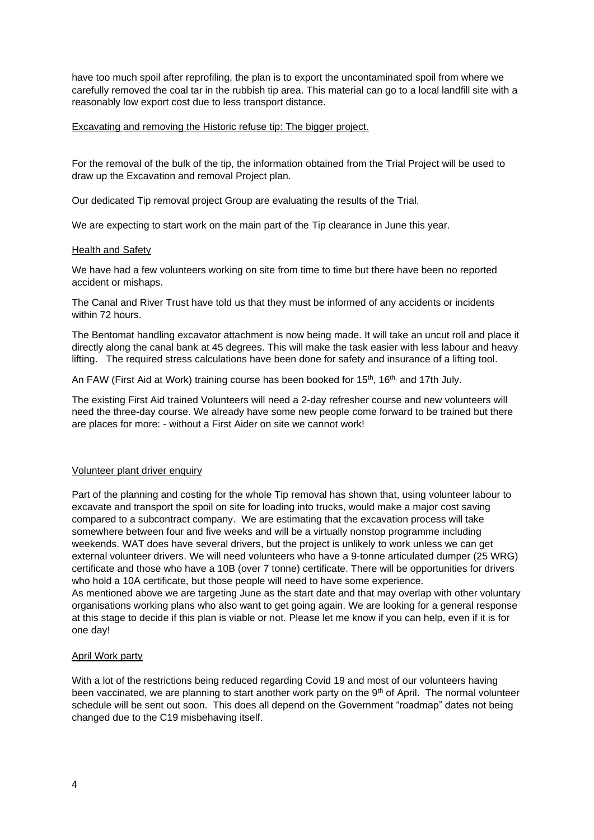have too much spoil after reprofiling, the plan is to export the uncontaminated spoil from where we carefully removed the coal tar in the rubbish tip area. This material can go to a local landfill site with a reasonably low export cost due to less transport distance.

#### Excavating and removing the Historic refuse tip: The bigger project.

For the removal of the bulk of the tip, the information obtained from the Trial Project will be used to draw up the Excavation and removal Project plan.

Our dedicated Tip removal project Group are evaluating the results of the Trial.

We are expecting to start work on the main part of the Tip clearance in June this year.

#### Health and Safety

We have had a few volunteers working on site from time to time but there have been no reported accident or mishaps.

The Canal and River Trust have told us that they must be informed of any accidents or incidents within 72 hours.

The Bentomat handling excavator attachment is now being made. It will take an uncut roll and place it directly along the canal bank at 45 degrees. This will make the task easier with less labour and heavy lifting. The required stress calculations have been done for safety and insurance of a lifting tool.

An FAW (First Aid at Work) training course has been booked for 15<sup>th</sup>, 16<sup>th,</sup> and 17th July.

The existing First Aid trained Volunteers will need a 2-day refresher course and new volunteers will need the three-day course. We already have some new people come forward to be trained but there are places for more: - without a First Aider on site we cannot work!

# Volunteer plant driver enquiry

Part of the planning and costing for the whole Tip removal has shown that, using volunteer labour to excavate and transport the spoil on site for loading into trucks, would make a major cost saving compared to a subcontract company. We are estimating that the excavation process will take somewhere between four and five weeks and will be a virtually nonstop programme including weekends. WAT does have several drivers, but the project is unlikely to work unless we can get external volunteer drivers. We will need volunteers who have a 9-tonne articulated dumper (25 WRG) certificate and those who have a 10B (over 7 tonne) certificate. There will be opportunities for drivers who hold a 10A certificate, but those people will need to have some experience.

As mentioned above we are targeting June as the start date and that may overlap with other voluntary organisations working plans who also want to get going again. We are looking for a general response at this stage to decide if this plan is viable or not. Please let me know if you can help, even if it is for one day!

# April Work party

With a lot of the restrictions being reduced regarding Covid 19 and most of our volunteers having been vaccinated, we are planning to start another work party on the 9<sup>th</sup> of April. The normal volunteer schedule will be sent out soon. This does all depend on the Government "roadmap" dates not being changed due to the C19 misbehaving itself.